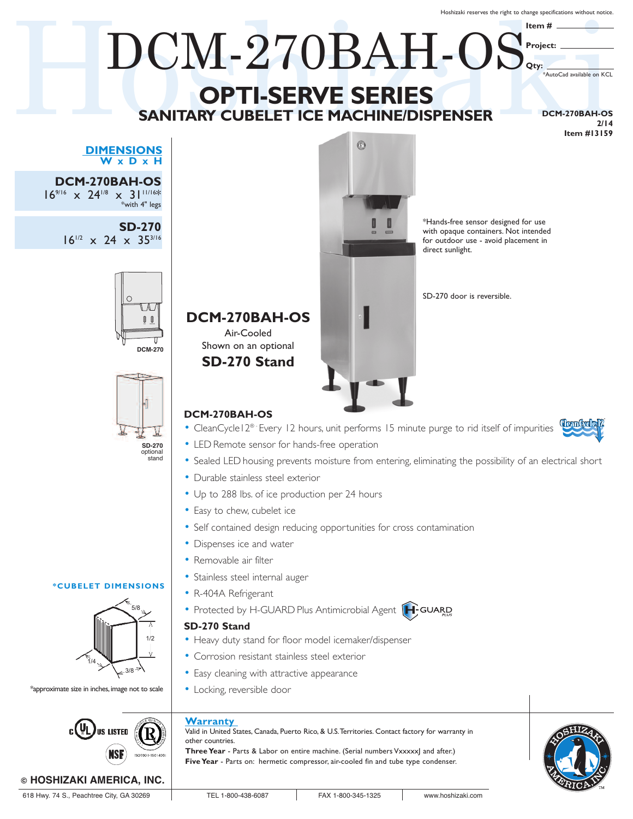Hoshizaki reserves the right to change specifications without notice.

## $\begin{array}{c} \textbf{DCM-270BAH-OS} \\ \textbf{OPTI-SERVE SERIES} \\ \textbf{SANITARY CUBELETICE MACHINE/DISPENSER} \end{array} \xrightarrow{\text{DecM-270BAH-OS}} \begin{array}{c} \textbf{Hern} \# \\ \textbf{OPTI-SERVE SERIES} \\ \textbf{SANITARY CUBELETICE MACHINE/DISPENSER} \end{array}$ **Item #** DCM-270BAH-OS **Project: Qty:** \*AutoCad available on KCL **OPTI-SERVE SERIES SANITARY CUBELET ICE MACHINE/DISPENSER DCM-270BAH-OS 2/14 Item #13159** 6 **DIMENSIONS W x D x H DCM-270BAH-OS** 16<sup>9/16</sup>  $\times$  24<sup>1/8</sup>  $\times$  31<sup>11/16\*</sup><br>\*with 4" legs \*Hands-free sensor designed for use **SD-270** with opaque containers. Not intended  $16^{1/2}$  x 24 x 35<sup>3/16</sup> for outdoor use - avoid placement in direct sunlight.



# **DCM-270BAH-OS**

Air-Cooled Shown on an optional **SD-270 Stand**

# **DCM-270BAH-OS**

ICE WATER

 $\bigcirc$  $\mathbb{U}$  $\mathbb{I}$ 

**DCM-270**

**SD-270** optional stand

5/8

3/8

1/2

- CleanCycle | 2<sup>® -</sup> Every 12 hours, unit performs 15 minute purge to rid itself of impurities
- LED Remote sensor for hands-free operation
- Sealed LED housing prevents moisture from entering, eliminating the possibility of an electrical short
- Durable stainless steel exterior
- Up to 288 lbs. of ice production per 24 hours
- Easy to chew, cubelet ice
- Self contained design reducing opportunities for cross contamination
- Dispenses ice and water
- Removable air filter
- Stainless steel internal auger
- R-404A Refrigerant



## **SD-270 Stand**

- Heavy duty stand for floor model icemaker/dispenser
- Corrosion resistant stainless steel exterior
- Easy cleaning with attractive appearance
- Locking, reversible door

# **Warranty**

Valid in United States, Canada, Puerto Rico, & U.S.Territories. Contact factory for warranty in other countries. **Three Year** - Parts & Labor on entire machine. (Serial numbers Vxxxxx) and after.) **Five Year** - Parts on: hermetic compressor, air-cooled fin and tube type condenser.



1/4

\*approximate size in inches, image not to scale

 $c(U_L)$ us Listed

**\*CUBELET DIMENSIONS**